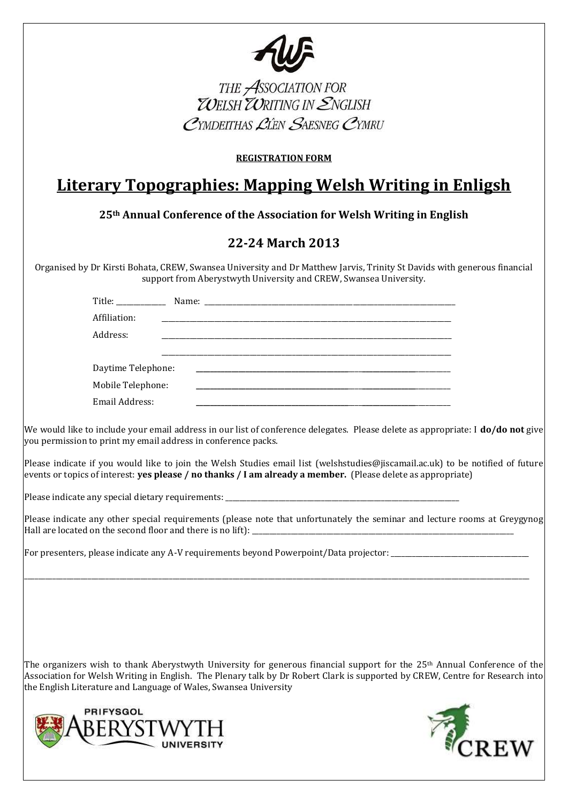

THE ASSOCIATION FOR<br>**ZOELSH ZORITING IN ENGLISH** 

#### **REGISTRATION FORM**

# **Literary Topographies: Mapping Welsh Writing in Enligsh**

**25th Annual Conference of the Association for Welsh Writing in English**

## **22-24 March 2013**

Organised by Dr Kirsti Bohata, CREW, Swansea University and Dr Matthew Jarvis, Trinity St Davids with generous financial support from Aberystwyth University and CREW, Swansea University.

| Affiliation:       |  |  |
|--------------------|--|--|
| Address:           |  |  |
|                    |  |  |
| Daytime Telephone: |  |  |
| Mobile Telephone:  |  |  |
| Email Address:     |  |  |

We would like to include your email address in our list of conference delegates. Please delete as appropriate: I **do/do not** give you permission to print my email address in conference packs.

Please indicate if you would like to join the Welsh Studies email list (welshstudies@jiscamail.ac.uk) to be notified of future events or topics of interest: **yes please / no thanks / I am already a member.** (Please delete as appropriate)

Please indicate any special dietary requirements:

Please indicate any other special requirements (please note that unfortunately the seminar and lecture rooms at Greygynog Hall are located on the second floor and there is no lift):

\_\_\_\_\_\_\_\_\_\_\_\_\_\_\_\_\_\_\_\_\_\_\_\_\_\_\_\_\_\_\_\_\_\_\_\_\_\_\_\_\_\_\_\_\_\_\_\_\_\_\_\_\_\_\_\_\_\_\_\_\_\_\_\_\_\_\_\_\_\_\_\_\_\_\_\_\_\_\_\_\_\_\_\_\_\_\_\_\_\_\_\_\_\_\_\_\_\_\_\_\_\_\_\_\_\_\_\_\_\_\_\_\_\_\_\_\_\_\_\_\_\_\_\_\_\_\_\_\_\_\_\_\_\_\_\_\_\_\_\_\_\_\_

For presenters, please indicate any A-V requirements beyond Powerpoint/Data projector: \_\_\_\_\_\_\_\_\_\_\_\_\_\_\_\_\_\_\_\_\_\_\_

The organizers wish to thank Aberystwyth University for generous financial support for the 25<sup>th</sup> Annual Conference of the Association for Welsh Writing in English. The Plenary talk by Dr Robert Clark is supported by CREW, Centre for Research into the English Literature and Language of Wales, Swansea University